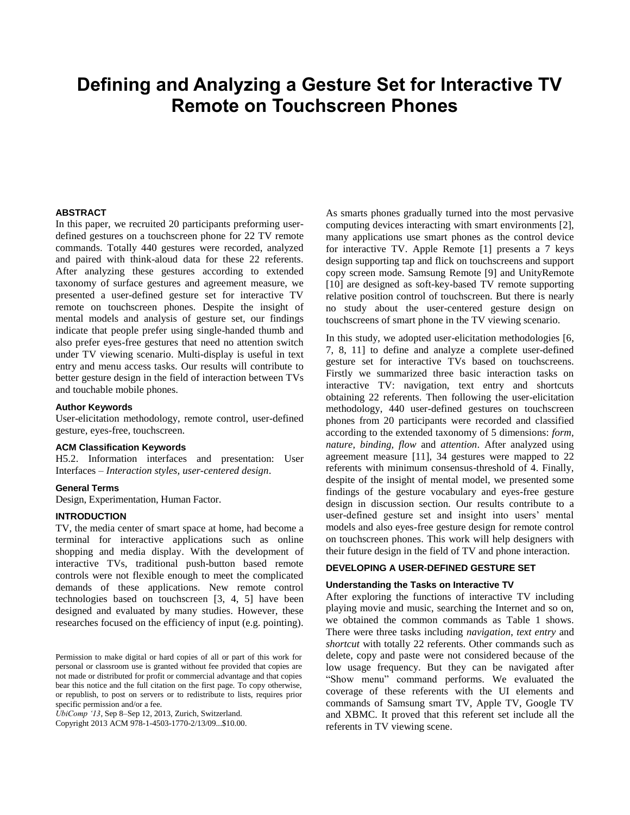# **Defining and Analyzing a Gesture Set for Interactive TV Remote on Touchscreen Phones**

#### **ABSTRACT**

In this paper, we recruited 20 participants preforming userdefined gestures on a touchscreen phone for 22 TV remote commands. Totally 440 gestures were recorded, analyzed and paired with think-aloud data for these 22 referents. After analyzing these gestures according to extended taxonomy of surface gestures and agreement measure, we presented a user-defined gesture set for interactive TV remote on touchscreen phones. Despite the insight of mental models and analysis of gesture set, our findings indicate that people prefer using single-handed thumb and also prefer eyes-free gestures that need no attention switch under TV viewing scenario. Multi-display is useful in text entry and menu access tasks. Our results will contribute to better gesture design in the field of interaction between TVs and touchable mobile phones.

#### **Author Keywords**

User-elicitation methodology, remote control, user-defined gesture, eyes-free, touchscreen.

#### **ACM Classification Keywords**

H5.2. Information interfaces and presentation: User Interfaces – *Interaction styles, user-centered design*.

#### **General Terms**

Design, Experimentation, Human Factor.

# **INTRODUCTION**

TV, the media center of smart space at home, had become a terminal for interactive applications such as online shopping and media display. With the development of interactive TVs, traditional push-button based remote controls were not flexible enough to meet the complicated demands of these applications. New remote control technologies based on touchscreen [\[3,](#page-3-0) [4,](#page-3-1) [5\]](#page-3-2) have been designed and evaluated by many studies. However, these researches focused on the efficiency of input (e.g. pointing).

*UbiComp '13*, Sep 8–Sep 12, 2013, Zurich, Switzerland.

Copyright 2013 ACM 978-1-4503-1770-2/13/09...\$10.00.

As smarts phones gradually turned into the most pervasive computing devices interacting with smart environments [\[2\]](#page-3-3), many applications use smart phones as the control device for interactive TV. Apple Remote [\[1\]](#page-3-4) presents a 7 keys design supporting tap and flick on touchscreens and support copy screen mode. Samsung Remote [\[9\]](#page-3-5) and UnityRemote [\[10\]](#page-3-6) are designed as soft-key-based TV remote supporting relative position control of touchscreen. But there is nearly no study about the user-centered gesture design on touchscreens of smart phone in the TV viewing scenario.

In this study, we adopted user-elicitation methodologies [\[6,](#page-3-7) [7,](#page-3-8) [8,](#page-3-9) [11\]](#page-3-10) to define and analyze a complete user-defined gesture set for interactive TVs based on touchscreens. Firstly we summarized three basic interaction tasks on interactive TV: navigation, text entry and shortcuts obtaining 22 referents. Then following the user-elicitation methodology, 440 user-defined gestures on touchscreen phones from 20 participants were recorded and classified according to the extended taxonomy of 5 dimensions: *form, nature, binding, flow* and *attention*. After analyzed using agreement measure [\[11\]](#page-3-10), 34 gestures were mapped to 22 referents with minimum consensus-threshold of 4. Finally, despite of the insight of mental model, we presented some findings of the gesture vocabulary and eyes-free gesture design in discussion section. Our results contribute to a user-defined gesture set and insight into users' mental models and also eyes-free gesture design for remote control on touchscreen phones. This work will help designers with their future design in the field of TV and phone interaction.

#### **DEVELOPING A USER-DEFINED GESTURE SET**

#### **Understanding the Tasks on Interactive TV**

After exploring the functions of interactive TV including playing movie and music, searching the Internet and so on, we obtained the common commands as Table 1 shows. There were three tasks including *navigation*, *text entry* and *shortcut* with totally 22 referents. Other commands such as delete, copy and paste were not considered because of the low usage frequency. But they can be navigated after "Show menu" command performs. We evaluated the coverage of these referents with the UI elements and commands of Samsung smart TV, Apple TV, Google TV and XBMC. It proved that this referent set include all the referents in TV viewing scene.

Permission to make digital or hard copies of all or part of this work for personal or classroom use is granted without fee provided that copies are not made or distributed for profit or commercial advantage and that copies bear this notice and the full citation on the first page. To copy otherwise, or republish, to post on servers or to redistribute to lists, requires prior specific permission and/or a fee.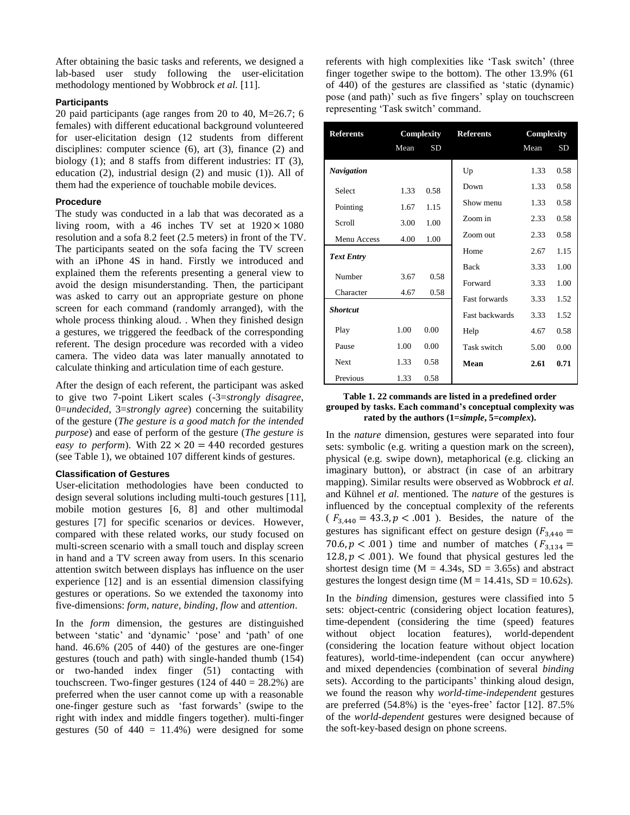After obtaining the basic tasks and referents, we designed a lab-based user study following the user-elicitation methodology mentioned by Wobbrock *et al.* [\[11\]](#page-3-10).

# **Participants**

20 paid participants (age ranges from 20 to 40, M=26.7; 6 females) with different educational background volunteered for user-elicitation design (12 students from different disciplines: computer science (6), art (3), finance (2) and biology (1); and 8 staffs from different industries: IT (3), education (2), industrial design (2) and music (1)). All of them had the experience of touchable mobile devices.

### **Procedure**

The study was conducted in a lab that was decorated as a living room, with a 46 inches TV set at  $1920 \times 1080$ resolution and a sofa 8.2 feet (2.5 meters) in front of the TV. The participants seated on the sofa facing the TV screen with an iPhone 4S in hand. Firstly we introduced and explained them the referents presenting a general view to avoid the design misunderstanding. Then, the participant was asked to carry out an appropriate gesture on phone screen for each command (randomly arranged), with the whole process thinking aloud. . When they finished design a gestures, we triggered the feedback of the corresponding referent. The design procedure was recorded with a video camera. The video data was later manually annotated to calculate thinking and articulation time of each gesture.

After the design of each referent, the participant was asked to give two 7-point Likert scales (-3=*strongly disagree*, 0=*undecided*, 3=*strongly agree*) concerning the suitability of the gesture (*The gesture is a good match for the intended purpose*) and ease of perform of the gesture (*The gesture is easy to perform*). With  $22 \times 20 = 440$  recorded gestures (see Table 1), we obtained 107 different kinds of gestures.

#### **Classification of Gestures**

User-elicitation methodologies have been conducted to design several solutions including multi-touch gestures [\[11\]](#page-3-10), mobile motion gestures [\[6,](#page-3-7) [8\]](#page-3-9) and other multimodal gestures [\[7\]](#page-3-8) for specific scenarios or devices. However, compared with these related works, our study focused on multi-screen scenario with a small touch and display screen in hand and a TV screen away from users. In this scenario attention switch between displays has influence on the user experience [\[12\]](#page-3-11) and is an essential dimension classifying gestures or operations. So we extended the taxonomy into five-dimensions: *form, nature, binding, flow* and *attention*.

In the *form* dimension, the gestures are distinguished between 'static' and 'dynamic' 'pose' and 'path' of one hand. 46.6% (205 of 440) of the gestures are one-finger gestures (touch and path) with single-handed thumb (154) or two-handed index finger (51) contacting with touchscreen. Two-finger gestures  $(124 \text{ of } 440 = 28.2\%)$  are preferred when the user cannot come up with a reasonable one-finger gesture such as 'fast forwards' (swipe to the right with index and middle fingers together). multi-finger gestures (50 of  $440 = 11.4%$ ) were designed for some referents with high complexities like 'Task switch' (three finger together swipe to the bottom). The other 13.9% (61 of 440) of the gestures are classified as 'static (dynamic) pose (and path)' such as five fingers' splay on touchscreen representing 'Task switch' command.

| <b>Referents</b>  | Complexity |           | <b>Referents</b>      | Complexity |           |
|-------------------|------------|-----------|-----------------------|------------|-----------|
|                   | Mean       | <b>SD</b> |                       | Mean       | <b>SD</b> |
| <b>Navigation</b> |            |           | Up                    | 1.33       | 0.58      |
| <b>Select</b>     | 1.33       | 0.58      | Down                  | 1.33       | 0.58      |
| Pointing          | 1.67       | 1.15      | Show menu             | 1.33       | 0.58      |
| Scroll            | 3.00       | 1.00      | Zoom in               | 2.33       | 0.58      |
| Menu Access       | 4.00       | 1.00      | Zoom out              | 2.33       | 0.58      |
| <b>Text Entry</b> |            |           | Home                  | 2.67       | 1.15      |
|                   |            |           | <b>Back</b>           | 3.33       | 1.00      |
| Number            | 3.67       | 0.58      | Forward               | 3.33       | 1.00      |
| Character         | 4.67       | 0.58      | <b>Fast forwards</b>  | 3.33       | 1.52      |
| <b>Shortcut</b>   |            |           | <b>Fast backwards</b> | 3.33       | 1.52      |
| Play              | 1.00       | 0.00      | Help                  | 4.67       | 0.58      |
| Pause             | 1.00       | 0.00      | Task switch           | 5.00       | 0.00      |
| <b>Next</b>       | 1.33       | 0.58      | Mean                  | 2.61       | 0.71      |
| Previous          | 1.33       | 0.58      |                       |            |           |

#### **Table 1. 22 commands are listed in a predefined order grouped by tasks. Each command's conceptual complexity was rated by the authors (1=***simple***, 5=***complex***).**

In the *nature* dimension, gestures were separated into four sets: symbolic (e.g. writing a question mark on the screen), physical (e.g. swipe down), metaphorical (e.g. clicking an imaginary button), or abstract (in case of an arbitrary mapping). Similar results were observed as Wobbrock *et al.* and Kühnel *et al.* mentioned. The *nature* of the gestures is influenced by the conceptual complexity of the referents  $(F_{3,440} = 43.3, p < .001)$ . Besides, the nature of the gestures has significant effect on gesture design  $(F_{3,440} =$ 70.6,  $p < .001$ ) time and number of matches ( $F_{3,134}$  = 12.8,  $p < .001$ ). We found that physical gestures led the shortest design time  $(M = 4.34s, SD = 3.65s)$  and abstract gestures the longest design time  $(M = 14.41s, SD = 10.62s)$ .

In the *binding* dimension, gestures were classified into 5 sets: object-centric (considering object location features), time-dependent (considering the time (speed) features without object location features), world-dependent (considering the location feature without object location features), world-time-independent (can occur anywhere) and mixed dependencies (combination of several *binding* sets). According to the participants' thinking aloud design, we found the reason why *world-time-independent* gestures are preferred (54.8%) is the 'eyes-free' factor [\[12\]](#page-3-11). 87.5% of the *world-dependent* gestures were designed because of the soft-key-based design on phone screens.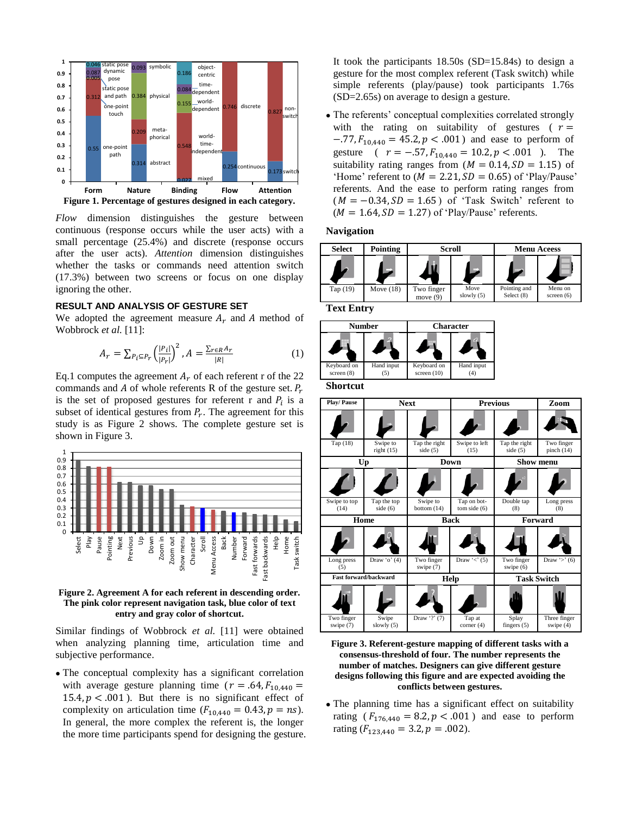

*Flow* dimension distinguishes the gesture between continuous (response occurs while the user acts) with a small percentage (25.4%) and discrete (response occurs after the user acts). *Attention* dimension distinguishes whether the tasks or commands need attention switch (17.3%) between two screens or focus on one display ignoring the other.

#### **RESULT AND ANALYSIS OF GESTURE SET**

We adopted the agreement measure  $A_r$  and A method of Wobbrock *et al.* [\[11\]](#page-3-10):

$$
A_r = \sum_{P_i \subseteq P_r} \left(\frac{|P_i|}{|P_r|}\right)^2, A = \frac{\sum_{r \in R} A_r}{|R|} \tag{1}
$$

Eq.1 computes the agreement  $A_r$  of each referent r of the 22 commands and A of whole referents R of the gesture set.  $P_r$ is the set of proposed gestures for referent r and  $P_i$  is a subset of identical gestures from  $P_r$ . The agreement for this study is as Figure 2 shows. The complete gesture set is shown in Figure 3.



**Figure 2. Agreement A for each referent in descending order. The pink color represent navigation task, blue color of text entry and gray color of shortcut.**

Similar findings of Wobbrock *et al.* [\[11\]](#page-3-10) were obtained when analyzing planning time, articulation time and subjective performance.

 The conceptual complexity has a significant correlation with average gesture planning time ( $r = .64$ ,  $F_{10,440} =$ 15.4,  $p < .001$ ). But there is no significant effect of complexity on articulation time  $(F_{10.440} = 0.43, p = ns)$ . In general, the more complex the referent is, the longer the more time participants spend for designing the gesture. It took the participants 18.50s (SD=15.84s) to design a gesture for the most complex referent (Task switch) while simple referents (play/pause) took participants 1.76s (SD=2.65s) on average to design a gesture.

 The referents' conceptual complexities correlated strongly with the rating on suitability of gestures ( $r =$  $-.77, F_{10,440} = 45.2, p < .001$ ) and ease to perform of gesture (  $r = -.57$ ,  $F_{10,440} = 10.2$ ,  $p < .001$  ). The suitability rating ranges from  $(M = 0.14, SD = 1.15)$  of 'Home' referent to  $(M = 2.21, SD = 0.65)$  of 'Play/Pause' referents. And the ease to perform rating ranges from  $(M = -0.34, SD = 1.65)$  of 'Task Switch' referent to  $(M = 1.64, SD = 1.27)$  of 'Play/Pause' referents.

#### **Navigation**



**Text Entry**

| <b>Number</b>               |            | <b>Character</b>             |                  |  |
|-----------------------------|------------|------------------------------|------------------|--|
|                             |            |                              |                  |  |
| Keyboard on<br>screen $(8)$ | Hand input | Keyboard on<br>screen $(10)$ | Hand input<br>(4 |  |

**Shortcut**



**Figure 3. Referent-gesture mapping of different tasks with a consensus-threshold of four. The number represents the number of matches. Designers can give different gesture designs following this figure and are expected avoiding the conflicts between gestures.**

 The planning time has a significant effect on suitability rating  $(F_{176,440} = 8.2, p < .001)$  and ease to perform rating  $(F_{123,440} = 3.2, p = .002)$ .